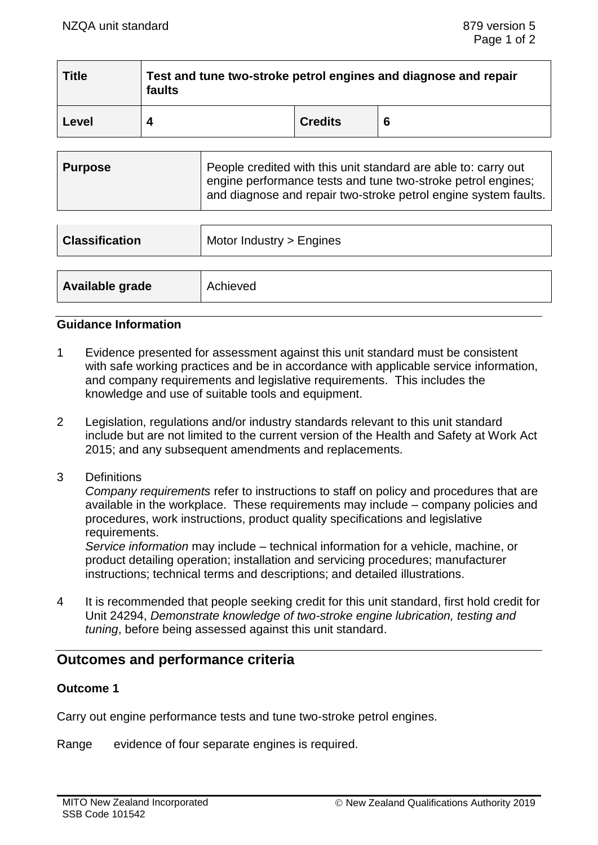| <b>Title</b> | Test and tune two-stroke petrol engines and diagnose and repair<br>faults |                |   |  |
|--------------|---------------------------------------------------------------------------|----------------|---|--|
| Level        |                                                                           | <b>Credits</b> | 6 |  |

| <b>Classification</b> | Motor Industry > Engines |
|-----------------------|--------------------------|
|                       |                          |
| Available grade       | Achieved                 |

#### **Guidance Information**

- 1 Evidence presented for assessment against this unit standard must be consistent with safe working practices and be in accordance with applicable service information, and company requirements and legislative requirements. This includes the knowledge and use of suitable tools and equipment.
- 2 Legislation, regulations and/or industry standards relevant to this unit standard include but are not limited to the current version of the Health and Safety at Work Act 2015; and any subsequent amendments and replacements.
- 3 Definitions

*Company requirements* refer to instructions to staff on policy and procedures that are available in the workplace. These requirements may include – company policies and procedures, work instructions, product quality specifications and legislative requirements.

*Service information* may include – technical information for a vehicle, machine, or product detailing operation; installation and servicing procedures; manufacturer instructions; technical terms and descriptions; and detailed illustrations.

4 It is recommended that people seeking credit for this unit standard, first hold credit for Unit 24294, *Demonstrate knowledge of two-stroke engine lubrication, testing and tuning*, before being assessed against this unit standard.

# **Outcomes and performance criteria**

## **Outcome 1**

Carry out engine performance tests and tune two-stroke petrol engines.

Range evidence of four separate engines is required.